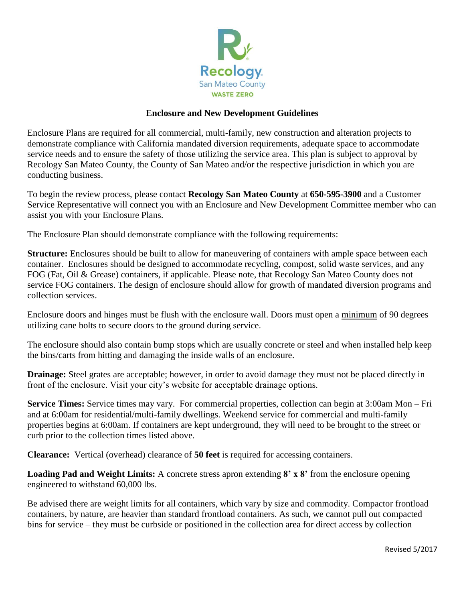

## **Enclosure and New Development Guidelines**

Enclosure Plans are required for all commercial, multi-family, new construction and alteration projects to demonstrate compliance with California mandated diversion requirements, adequate space to accommodate service needs and to ensure the safety of those utilizing the service area. This plan is subject to approval by Recology San Mateo County, the County of San Mateo and/or the respective jurisdiction in which you are conducting business.

To begin the review process, please contact **Recology San Mateo County** at **650-595-3900** and a Customer Service Representative will connect you with an Enclosure and New Development Committee member who can assist you with your Enclosure Plans.

The Enclosure Plan should demonstrate compliance with the following requirements:

**Structure:** Enclosures should be built to allow for maneuvering of containers with ample space between each container. Enclosures should be designed to accommodate recycling, compost, solid waste services, and any FOG (Fat, Oil & Grease) containers, if applicable. Please note, that Recology San Mateo County does not service FOG containers. The design of enclosure should allow for growth of mandated diversion programs and collection services.

Enclosure doors and hinges must be flush with the enclosure wall. Doors must open a minimum of 90 degrees utilizing cane bolts to secure doors to the ground during service.

The enclosure should also contain bump stops which are usually concrete or steel and when installed help keep the bins/carts from hitting and damaging the inside walls of an enclosure.

**Drainage:** Steel grates are acceptable; however, in order to avoid damage they must not be placed directly in front of the enclosure. Visit your city's website for acceptable drainage options.

**Service Times:** Service times may vary. For commercial properties, collection can begin at 3:00am Mon – Fri and at 6:00am for residential/multi-family dwellings. Weekend service for commercial and multi-family properties begins at 6:00am. If containers are kept underground, they will need to be brought to the street or curb prior to the collection times listed above.

**Clearance:** Vertical (overhead) clearance of **50 feet** is required for accessing containers.

**Loading Pad and Weight Limits:** A concrete stress apron extending **8' x 8'** from the enclosure opening engineered to withstand 60,000 lbs.

Be advised there are weight limits for all containers, which vary by size and commodity. Compactor frontload containers, by nature, are heavier than standard frontload containers. As such, we cannot pull out compacted bins for service – they must be curbside or positioned in the collection area for direct access by collection